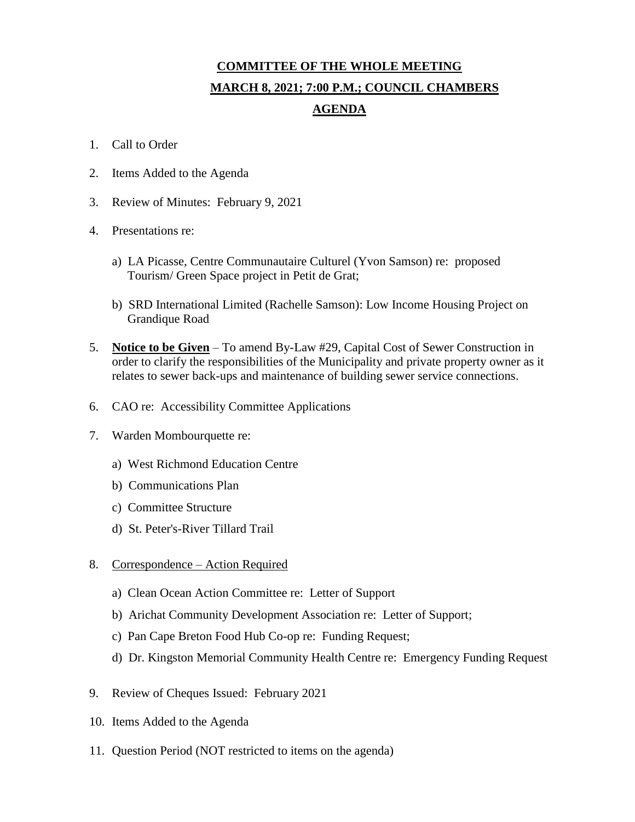## **COMMITTEE OF THE WHOLE MEETING MARCH 8, 2021; 7:00 P.M.; COUNCIL CHAMBERS AGENDA**

- 1. Call to Order
- 2. Items Added to the Agenda
- 3. Review of Minutes: February 9, 2021
- 4. Presentations re:
	- a) LA Picasse, Centre Communautaire Culturel (Yvon Samson) re: proposed Tourism/ Green Space project in Petit de Grat;
	- b) SRD International Limited (Rachelle Samson): Low Income Housing Project on Grandique Road
- 5. **Notice to be Given** To amend By-Law #29, Capital Cost of Sewer Construction in order to clarify the responsibilities of the Municipality and private property owner as it relates to sewer back-ups and maintenance of building sewer service connections.
- 6. CAO re: Accessibility Committee Applications
- 7. Warden Mombourquette re:
	- a) West Richmond Education Centre
	- b) Communications Plan
	- c) Committee Structure
	- d) St. Peter's-River Tillard Trail
- 8. Correspondence Action Required
	- a) Clean Ocean Action Committee re: Letter of Support
	- b) Arichat Community Development Association re: Letter of Support;
	- c) Pan Cape Breton Food Hub Co-op re: Funding Request;
	- d) Dr. Kingston Memorial Community Health Centre re: Emergency Funding Request
- 9. Review of Cheques Issued: February 2021
- 10. Items Added to the Agenda
- 11. Question Period (NOT restricted to items on the agenda)